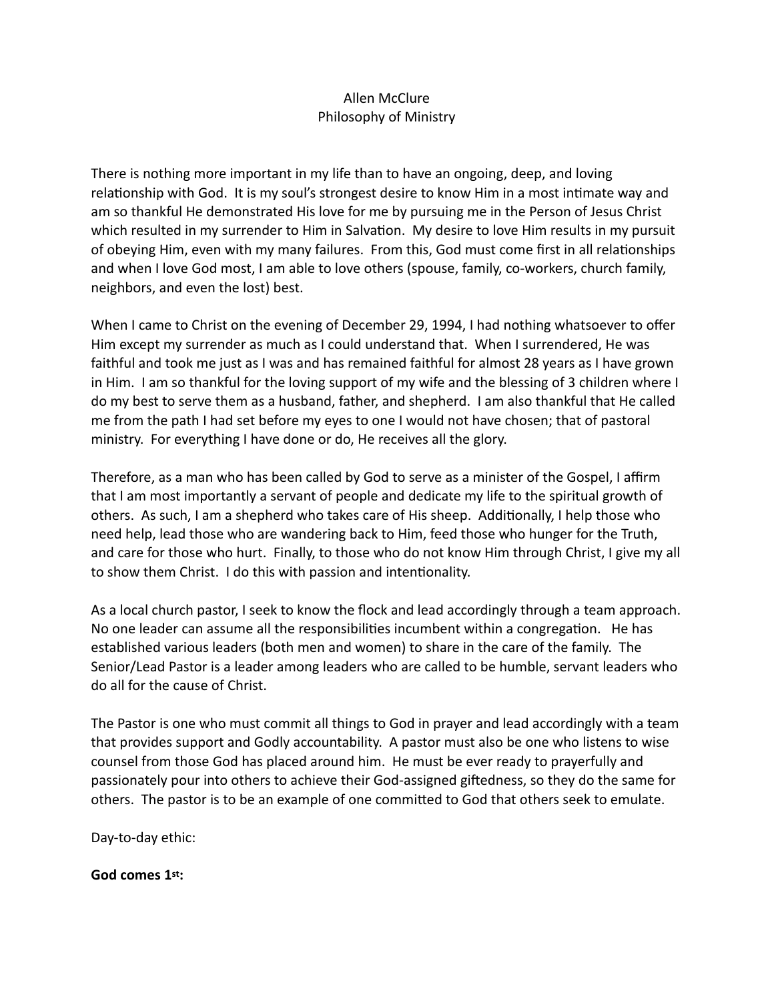# Allen McClure Philosophy of Ministry

There is nothing more important in my life than to have an ongoing, deep, and loving relationship with God. It is my soul's strongest desire to know Him in a most intimate way and am so thankful He demonstrated His love for me by pursuing me in the Person of Jesus Christ which resulted in my surrender to Him in Salvation. My desire to love Him results in my pursuit of obeying Him, even with my many failures. From this, God must come first in all relationships and when I love God most, I am able to love others (spouse, family, co-workers, church family, neighbors, and even the lost) best.

When I came to Christ on the evening of December 29, 1994, I had nothing whatsoever to offer Him except my surrender as much as I could understand that. When I surrendered, He was faithful and took me just as I was and has remained faithful for almost 28 years as I have grown in Him. I am so thankful for the loving support of my wife and the blessing of 3 children where I do my best to serve them as a husband, father, and shepherd. I am also thankful that He called me from the path I had set before my eyes to one I would not have chosen; that of pastoral ministry. For everything I have done or do, He receives all the glory.

Therefore, as a man who has been called by God to serve as a minister of the Gospel, I affirm that I am most importantly a servant of people and dedicate my life to the spiritual growth of others. As such, I am a shepherd who takes care of His sheep. Additionally, I help those who need help, lead those who are wandering back to Him, feed those who hunger for the Truth, and care for those who hurt. Finally, to those who do not know Him through Christ, I give my all to show them Christ. I do this with passion and intentionality.

As a local church pastor, I seek to know the flock and lead accordingly through a team approach. No one leader can assume all the responsibilities incumbent within a congregation. He has established various leaders (both men and women) to share in the care of the family. The Senior/Lead Pastor is a leader among leaders who are called to be humble, servant leaders who do all for the cause of Christ.

The Pastor is one who must commit all things to God in prayer and lead accordingly with a team that provides support and Godly accountability. A pastor must also be one who listens to wise counsel from those God has placed around him. He must be ever ready to prayerfully and passionately pour into others to achieve their God-assigned giftedness, so they do the same for others. The pastor is to be an example of one committed to God that others seek to emulate.

Day-to-day ethic:

**God comes 1st:**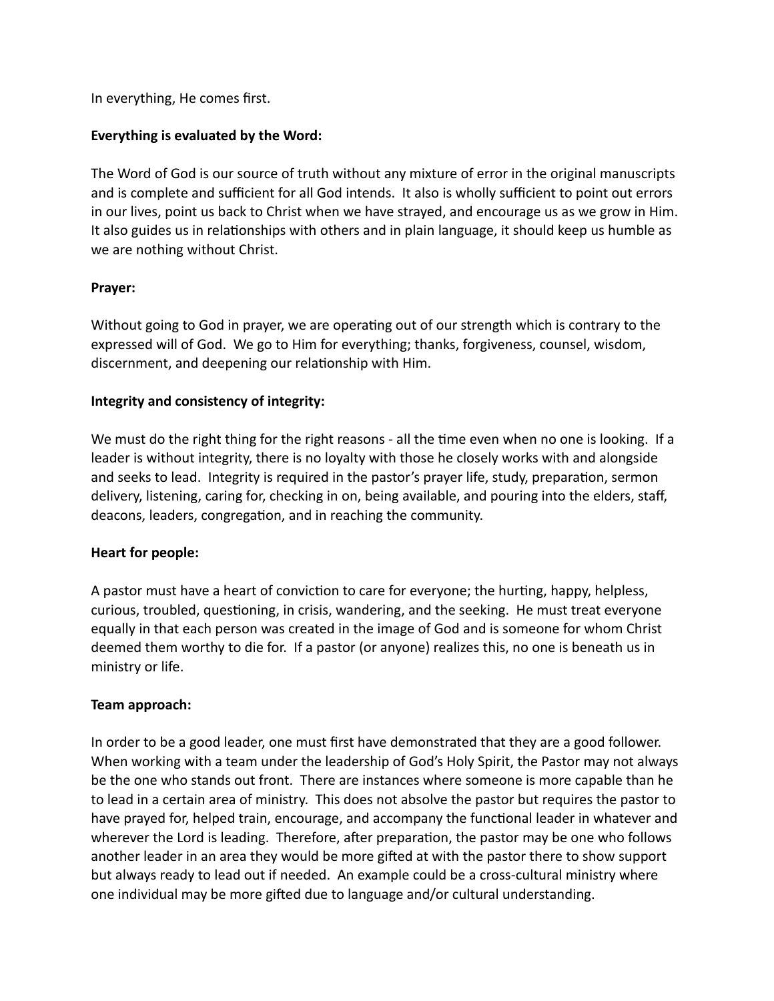In everything, He comes first.

## **Everything is evaluated by the Word:**

The Word of God is our source of truth without any mixture of error in the original manuscripts and is complete and sufficient for all God intends. It also is wholly sufficient to point out errors in our lives, point us back to Christ when we have strayed, and encourage us as we grow in Him. It also guides us in relationships with others and in plain language, it should keep us humble as we are nothing without Christ.

## **Prayer:**

Without going to God in prayer, we are operating out of our strength which is contrary to the expressed will of God. We go to Him for everything; thanks, forgiveness, counsel, wisdom, discernment, and deepening our relationship with Him.

## **Integrity and consistency of integrity:**

We must do the right thing for the right reasons - all the time even when no one is looking. If a leader is without integrity, there is no loyalty with those he closely works with and alongside and seeks to lead. Integrity is required in the pastor's prayer life, study, preparation, sermon delivery, listening, caring for, checking in on, being available, and pouring into the elders, staff, deacons, leaders, congregation, and in reaching the community.

### **Heart for people:**

A pastor must have a heart of conviction to care for everyone; the hurting, happy, helpless, curious, troubled, questioning, in crisis, wandering, and the seeking. He must treat everyone equally in that each person was created in the image of God and is someone for whom Christ deemed them worthy to die for. If a pastor (or anyone) realizes this, no one is beneath us in ministry or life.

### **Team approach:**

In order to be a good leader, one must first have demonstrated that they are a good follower. When working with a team under the leadership of God's Holy Spirit, the Pastor may not always be the one who stands out front. There are instances where someone is more capable than he to lead in a certain area of ministry. This does not absolve the pastor but requires the pastor to have prayed for, helped train, encourage, and accompany the functional leader in whatever and wherever the Lord is leading. Therefore, after preparation, the pastor may be one who follows another leader in an area they would be more gifted at with the pastor there to show support but always ready to lead out if needed. An example could be a cross-cultural ministry where one individual may be more gifted due to language and/or cultural understanding.